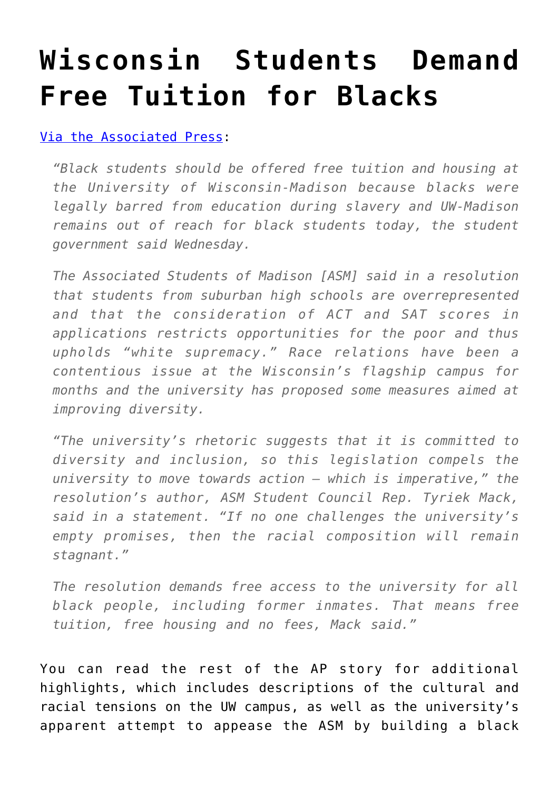## **[Wisconsin Students Demand](https://intellectualtakeout.org/2017/02/wisconsin-students-demand-free-tuition-for-blacks/) [Free Tuition for Blacks](https://intellectualtakeout.org/2017/02/wisconsin-students-demand-free-tuition-for-blacks/)**

## [Via the Associated Press:](http://hosted.ap.org/dynamic/stories/U/US_BLACK_STUDENTS_FREE_TUITION?SITE=AP&SECTION=HOME&TEMPLATE=DEFAULT&CTIME=2017-02-16-11-51-52)

*"Black students should be offered free tuition and housing at the University of Wisconsin-Madison because blacks were legally barred from education during slavery and UW-Madison remains out of reach for black students today, the student government said Wednesday.*

*The Associated Students of Madison [ASM] said in a resolution that students from suburban high schools are overrepresented and that the consideration of ACT and SAT scores in applications restricts opportunities for the poor and thus upholds "white supremacy." Race relations have been a contentious issue at the Wisconsin's flagship campus for months and the university has proposed some measures aimed at improving diversity.*

*"The university's rhetoric suggests that it is committed to diversity and inclusion, so this legislation compels the university to move towards action – which is imperative," the resolution's author, ASM Student Council Rep. Tyriek Mack, said in a statement. "If no one challenges the university's empty promises, then the racial composition will remain stagnant."*

*The resolution demands free access to the university for all black people, including former inmates. That means free tuition, free housing and no fees, Mack said."*

You can read the rest of the AP story for additional highlights, which includes descriptions of the cultural and racial tensions on the UW campus, as well as the university's apparent attempt to appease the ASM by building a black